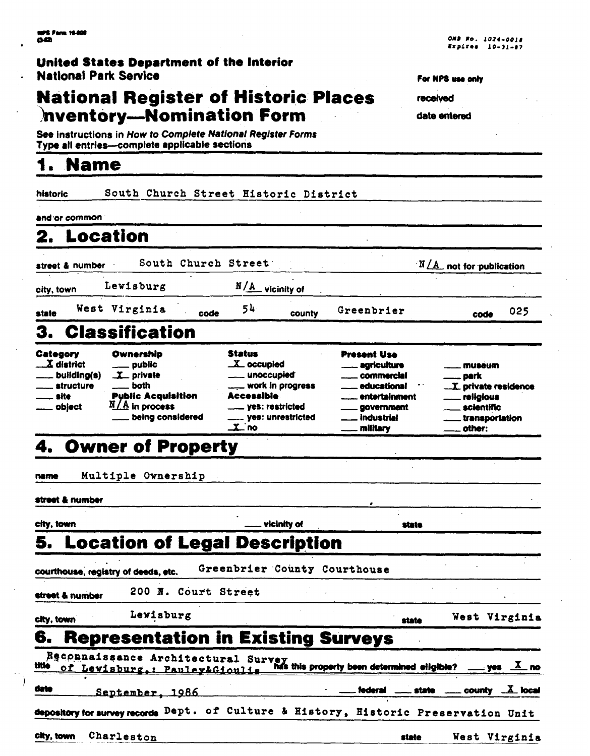### **National Register of Historic Places hventory-Nomination Form**

See instructions in How to Complete National Register Forms Type all entries-complete applicable sections

#### 1 **Name**

South Church Street Historic District historic

code

and or common

2. Location

South Church Street street & number

city, town

Lewisburg

 $N / A$  vicinity of 54

 $\mathbf{x}$  no

West Virginia state

#### **Classification** 3.

**Status** Category Ownership **Present Use** X district  $X$  occupied \_ public agriculture museum \_ building(s) \_unoccupied  $\underline{\mathbf{X}}$  private commercial park  $_$  structure \_ both \_ work in progress educational X private residence \_ site **Public Acquisition Accessible** entertainment religious  $N/A$  in process \_ obiect **\_ves: restricted** aovernment scientific ... yes: unrestricted being considered *industrial* transportation

county

## **Owner of Property**

Multiple Ownership name

street & number vicinity of city, town Location of Legal Description 5.

Greenbrier County Courthouse courthouse, registry of deeds, etc.

200 N. Court Street street & number

city, town

Lewisburg

West Virginia

 $ves \t{X} no$ 

county  $\underline{X}$  local

#### **Representation in Existing Surveys** б.

Reconnaissance Architectural Survey<br>has this property been determined eligible? title

date

September, 1986

depository for survey records Dept. of Culture & History, Historic Preservation Unit

Charleston city, town

For NPS use only

received

Greenbrier

military

state

state

state

federal

date entered

 $\frac{N}{A}$  not for publication

code

other:

025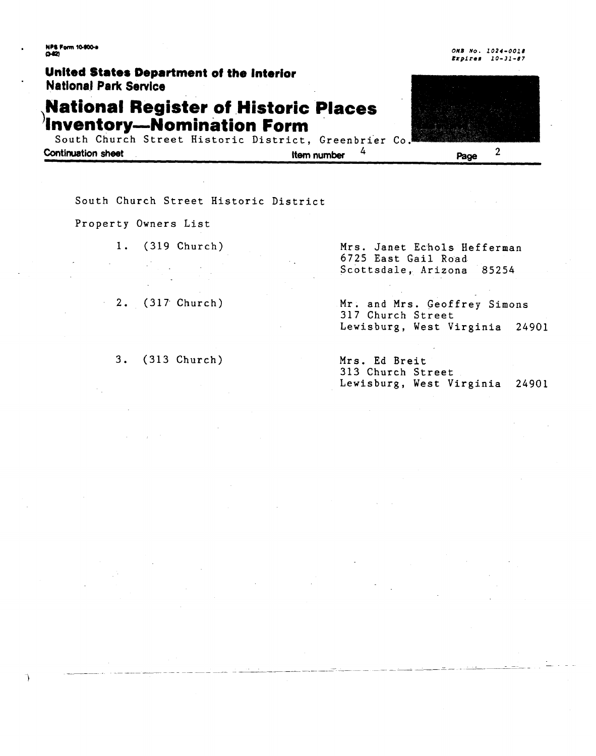**NPS Form 10-800-a**  $\overline{0}$ 

United States Department of the Interior **National Park Service** 

### **National Register of Historic Places** Inventory—Nomination Form

South Church Street Historic District, Greenbrier Co. **Continuation sheet <b>I Page Item number**  $\frac{4}{3}$  **Page** 

**South Church Street Historic District** 

**Property Owners List** 

**1. (319 Church)** 

**2.** (317- **Church)** 

**3. (313 Church)** 

**Mrs. Janet Echols Hefferman 6725 East Gail Road Scottsdale, Arizona 85254** 

**Mr. and Mrs. Geoffrey Simons 317 Church Street Lewisburg, West Virginia 24901** 

**Mrs. Ed Breit 313 Church Street Lewisburg, West Virginia 24901** 



**OWB NO. 1024-0018**  *Erpirea* **10-31-87**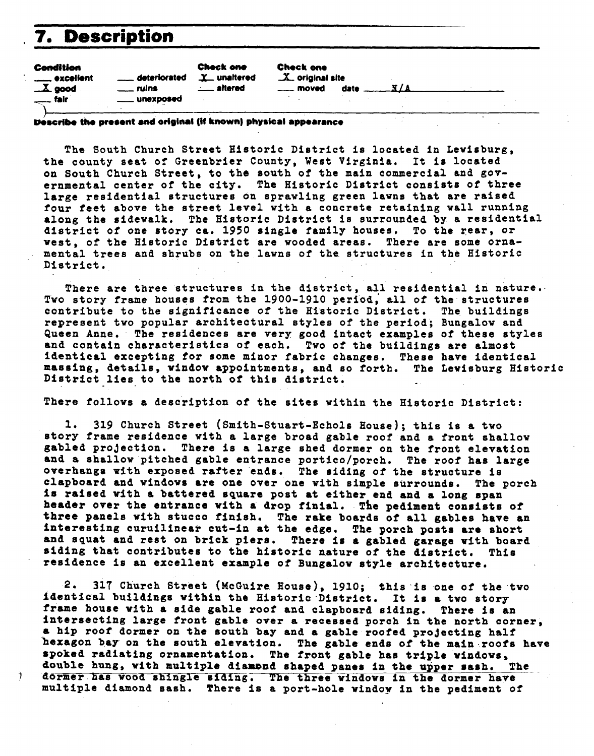Ì.

| <b>7. Description</b>             |                                            |                                                                                     |                                               |  |  |  |
|-----------------------------------|--------------------------------------------|-------------------------------------------------------------------------------------|-----------------------------------------------|--|--|--|
| Condition<br>$X$ good<br>$-$ fair | deteriorated<br>___ ruins<br>___ unexposed | <b>Check one</b><br>$\mathbf{\underline{Y}}$ unaltered<br><b>Example</b> <i>red</i> | Check one<br>$X$ original site<br>N/A<br>date |  |  |  |
|                                   |                                            |                                                                                     |                                               |  |  |  |

**Describe the present and original (if known) physical appearance** 

The South Church Street Historic District is located in Lewisburg, the county seat of Greenbrier County, West Virginia. It is located on South Church Street, to the south of the main commercial and governmental center of the city. The Historic District consists of three large residential structures on sprawling green lawns that are raised four feet above the street level with **a** concrete retaining well running along the sidewalk, The Historic District is surrounded by a residential district of one story ca. 1950 single family houses. To the rear, or west, of the Historic District are wooded areas. There are some ornamental trees and shrubs on the lawns of the structures in the Historic District.

There are three structures in the district, all residential in nature. Two story frame houses from the 1900-1910 period, all of the structures contribute to the significance of the Historic District, The buildings represent two popular architectural styles of the period; Bungalow and Queen Anne, The residences are very good intact examples of these styles and contain characteristics of each, Two of the buildings are almost identical excepting for some minor fabric changes. These have identical massing, details, window appointments, and so forth, The Lewisburg Historic District lies to the north of this district.

There follows a description of the sites within the Historic District:

1. 319 Church Street (Smith-Stuart-Echols House); this is a two story frame residence vith a large broad gable roof and a front shallow gabled projection. There is a large shed dormer on the front elevation and a shallow pitched gable entrance portico/porch. The roof has large overhangs vith exposed rafter ends. The siding of the structure is clapboard and windows are one over one with simple surrounds. The porch Is raised with a battered square post at either end and a long span header over the entrance with a drop finial. The pediment consists of three panels with stucco finish. The rake boards of all gables have an interesting curuilinear cut-in at the edge. The porch posts are short and squat and rest on brick piers. There is a gabled garage with board siding that contributes to the historic nature of the district, This residence is an excellent example of Bungalow style architecture.

**2.** 317 Church Street (McGuire House), 1910; this is one of the tvo identical buildings within the Historic District. It is a two story frame house with a side gable roof and clapboard siding. There is an intersecting large front **gable** over a recessed porch in **the** north corner, **r** hip roof dormer on the south **bay** and a gable roofed projecting half hexagon **bay** on the south elevation. The gable ends of the mein roofs bave spoked radiating ornamentation. The front gable has triple windows, double hung, with multiple diamond shaped panes in the upper sash. The dormer has wood shingle siding. The three windows in the dormer have multiple diamond sash. There is a port-hole window in the pediment of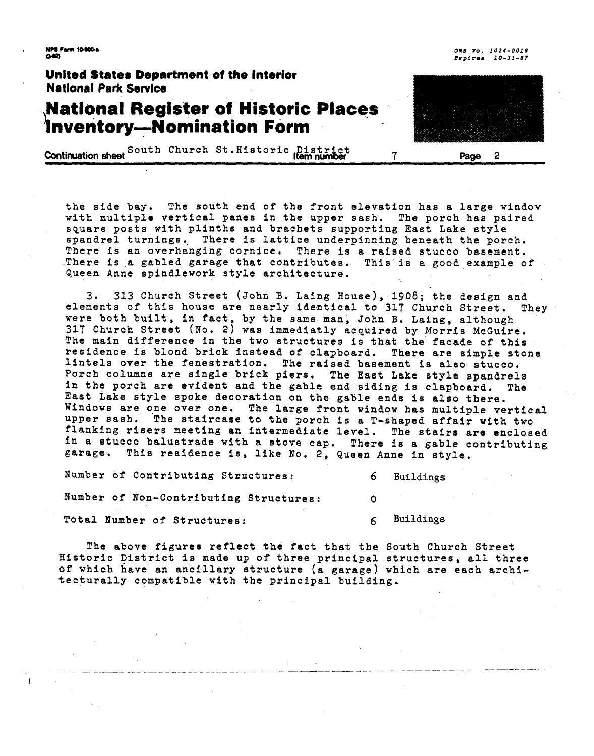**NPS Form 10-800-a**  $0.42$ 

United States Department of the Interior **National Park Service** 

### **National Register of Historic Places** Inventory—Nomination Form



**OIB No. 1014-0018**  *Expire8* **10-31-87** 

**Continuation sheet** South Church St.Historic istr ct **I& number 7 page <sup>2</sup>**

the side bay, The south end of the front elevation has a large window with multiple vertical panes in the upper sash. The porch has paired square posts with plinths and brachets supporting East Lake style spandrel turnings. There is lattice underpinning beneath the porch. There is an overhanging cornice, There is a raised stucco basement. There is a gabled garage that contributes. This is a good example of Queen Anne spindlework style architecture,

3. 313 Church Street (John B. Laing House), 1908; the design and elements of this house are nearly identical to 317 Church Street, They were both built, in fact, by the sane man, John B. Laing, although 317 Church Street (NO. **2)** was immediatly acquired by Morris McGuire, The main difference in the two structures is that the facade of this residence is blond brick instead of clapboard. There are simple stone lintels over the fenestration, The raised basement is also stucco. Porch columns are single brick piers. The East Lake style spandrels in the porch are evident and the gable end siding is clapboard. The East Lake style spoke decoration on the gable ends is also there. Windows are one over one. The large front window has multiple vertical upper sash, The staircase to the porch is a T-shaped affair with two flanking risers meeting an intermediate level, The stairs are enclosed in a stucco balustrade with a stove cap. There is a gable-contributing garage. This residence is, like No. 2, Queen Anne in style.

| Number of Contributing Structures:     | 6 | Buildings     |
|----------------------------------------|---|---------------|
| Number of Non-Contributing Structures: |   |               |
| Total Number of Structures:            |   | $6$ Buildings |

The above figures reflect the fact that the South Church Street Historic District is made up of three principal structures, all three of which have an ancillary structure (a garage) which are each architecturally compatible with the principal building.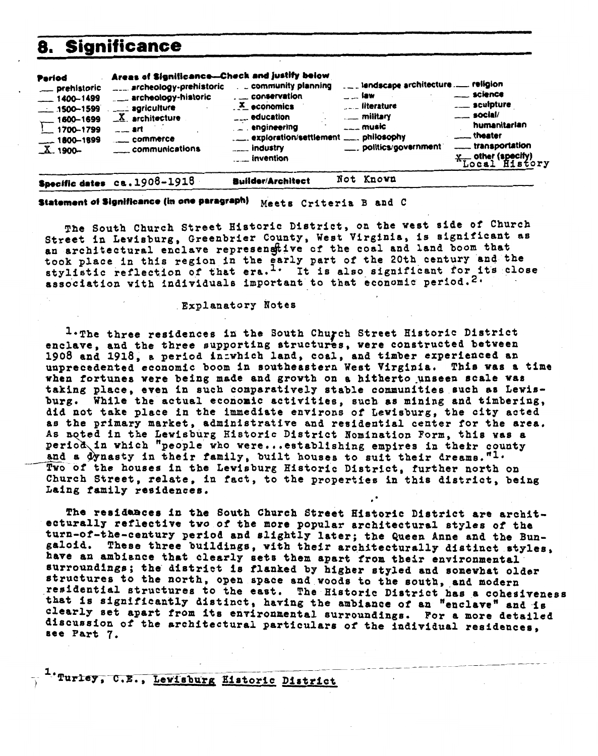### 8. Significance

| Period<br>__ prehistoric<br>$-1400 - 1499$<br>$-1500 - 1599$<br>$\boxed{1600-1699}$<br>$-1800 - 1899$<br>$X.1900 -$ | Areas of Significance-Check and justify below<br>---- archeology-prehistoric<br>archeology-historic<br>___ agriculture<br>$\underline{X}$ architecture<br>$-$ art<br>commerce<br>communications | . _ community planning<br>.__ conservation<br>$\underline{x}$ economics<br>$---$ education<br>._ engineering<br>exploration/settlement  philosophy<br>$\frac{1}{2}$ invention | landscape architecture religion<br>$ -$ iaw<br>___ literature<br>$---$ music | $\overline{\phantom{a}}$ science<br><sub>--</sub> sculpture<br>$\equiv$ social/<br>humanitarian<br>$\frac{1}{2}$ theater<br>- transportation<br>x_other(specify)<br>Local History |
|---------------------------------------------------------------------------------------------------------------------|-------------------------------------------------------------------------------------------------------------------------------------------------------------------------------------------------|-------------------------------------------------------------------------------------------------------------------------------------------------------------------------------|------------------------------------------------------------------------------|-----------------------------------------------------------------------------------------------------------------------------------------------------------------------------------|
|                                                                                                                     | <b>Specific dates</b> $ca.1908-1918$                                                                                                                                                            | <b>Builder/Architect</b>                                                                                                                                                      | Not Known                                                                    |                                                                                                                                                                                   |

#### Statement of Significance (in one paragraph) Meets Criteria B and C

The South Church Street Historic District, on the west side of Church Street in Lewisburg, Greenbrier County, West Virginia, is significant as an architectural enclave represengtive of the coal and land boom that took place in this region in the early part of the 20th century and the stylistic reflection of that era.<sup>1</sup>. It is also significant for its close association with individuals important to that economic period.<sup>2</sup>.

#### Explanatory Notes

1. The three residences in the South Church Street Historic District enclave, and the three supporting structures, were constructed between 1908 and 1918, a period in which land, coal, and timber experienced an unprecedented economic boom in southeastern West Virginia. This was a time when fortunes were being made and growth on a hitherto unseen scale was taking place, even in such comparatively stable communities such as Lewisburg. While the actual economic activities, such as mining and timbering, did not take place in the immediate environs of Lewisburg, the city acted as the primary market, administrative and residential center for the area. As noted in the Lewisburg Historic District Nomination Form, this was a period in which "people who were...establishing empires in their county and a dynasty in their family, built houses to suit their dreams."1. Two of the houses in the Lewisburg Historic District, further north on Church Street, relate, in fact, to the properties in this district, being Laing family residences.

The residences in the South Church Street Historic District are architecturally reflective two of the more popular architectural styles of the turn-of-the-century period and slightly later; the Queen Anne and the Bungaloid. These three buildings, with their architecturally distinct styles, have an ambiance that clearly sets them apart from their environmental surroundings; the district is flanked by higher styled and somewhat older structures to the north, open space and woods to the south, and modern residential structures to the east. The Historic District has a cohesiveness that is significantly distinct, having the ambiance of an "enclave" and is clearly set apart from its environmental surroundings. For a more detailed discussion of the architectural particulars of the individual residences, see Part 7.

'Turley, C.E., Lewisburg Historic District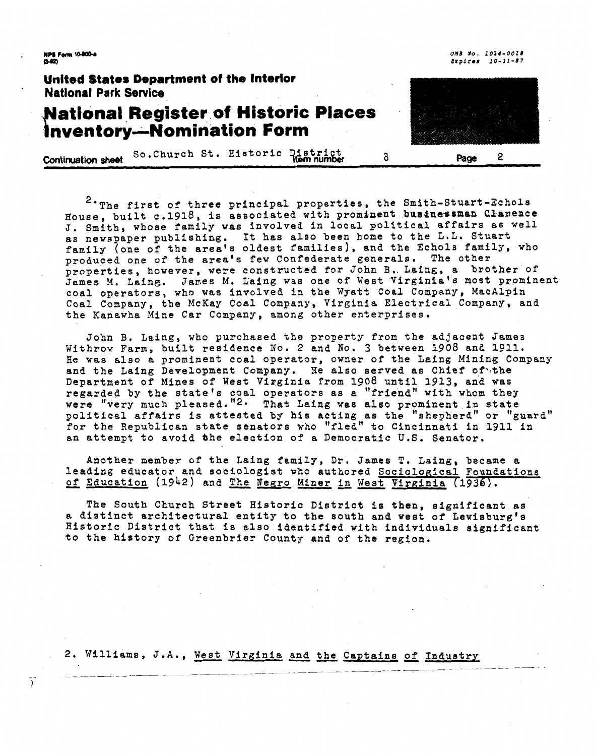NPS Form 10-900-a<br>C-62)

 $\bar{V}$ 

**United States Department of the Interior National Park Service** 

### **National Register of Historic Places Inventory-Nomination Form**



**OUB bo. 1024-0018**  *Expires* **10-31-87** 

**Continuation sheet So.Church St. Historic District** 8 **8 <b>Page** 2

<sup>2</sup>. The first of three principal properties, the Smith-Stuart-Echols House, built c.1918, is associated with prominent businessman Clarence J. Smith, whose family was involved in local political affairs as well as newspaper publishing. It has also been home to the L.L. Stuart family (one of the area's oldest families), and the Echols family, who produced one of the area's few Confederate generals, The other properties, however, were constructed for John B. Laing, a brother of James M. Laing. James M. Laing was one of West Virginia's most prominent coal operators, who was involved in the Wyatt Coal Company, MacAlpin Coal Company, the McKay Coal Company, Virginia Electrical Company, and the Kanawha Mine Car Company, among other enterprises.

John B. Laing, who purchased the property fron the adjacent James Withrow Farm, built residence No. 2 and No. **3** between **1908** and 1911. He was also a prominent coal operator, owner of the Laing Mining Company and the Laing Development Company. He also served as Chief of the Department of Mines of West Virginia from 1908 until 1913, and was regarded by the state's coal operators as a "friend" with whom they regarded by the state in the operators as a research was more than the state political affairs is attested by his acting as the "shepherd" or "guard" for the Republican state senators who "fled" to Cincinnati in 1911 in an attempt to avoid &he election of a Democratic U.S. Senator.

Another member of the Laing family, Dr. James T. Laing, became a leading educator and Another member of the<br>leading educator and soc<br>of Education (1942) and

The South Church Street Historic District is then, significant as a distinct architectural entity to the south and west of Levisburg's Historic District that is also identified with individuals significant to the history of Greenbrier County and of the region.

2. Williams, J.A., West Virginia and the Captains of Industry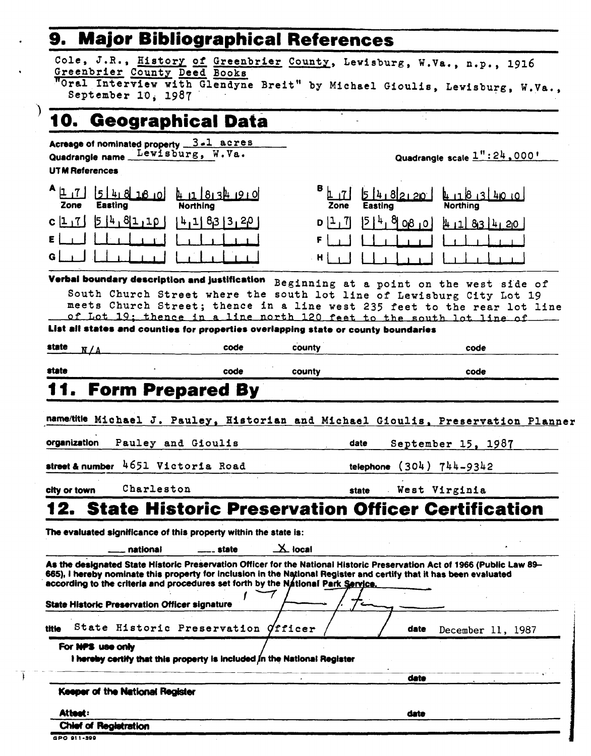## 9. Major Bibliographical References

 $\mathcal{E}$ 

 $\top$ 

|                           | Cole, J.R., History of Greenbrier County, Lewisburg, W.Va., n.p., 1916<br>Greenbrier County Deed Books                                                                                                                                                                                                                              |                                 |                    |       |                   |                              |  |
|---------------------------|-------------------------------------------------------------------------------------------------------------------------------------------------------------------------------------------------------------------------------------------------------------------------------------------------------------------------------------|---------------------------------|--------------------|-------|-------------------|------------------------------|--|
|                           | "Oral Interview with Glendyne Breit" by Michael Gioulis, Lewisburg, W.Va.,<br>September 10, 1987                                                                                                                                                                                                                                    |                                 |                    |       |                   |                              |  |
|                           | 10. Geographical Data                                                                                                                                                                                                                                                                                                               |                                 |                    |       |                   |                              |  |
| <b>UTM References</b>     | Acreage of nominated property 3.1 acres<br>Quadrangle name Lewisburg, W.Va.                                                                                                                                                                                                                                                         |                                 |                    |       |                   | Quadrangle scale 1":24,000'  |  |
|                           |                                                                                                                                                                                                                                                                                                                                     |                                 |                    |       |                   |                              |  |
| $A \mid 1 \mid 7$<br>Zone | $54880$ $4189$<br><b>Easting</b>                                                                                                                                                                                                                                                                                                    |                                 | Zone               |       | 5 4 8 2 20        | 418134010                    |  |
| c 1,7                     | 514,81,10                                                                                                                                                                                                                                                                                                                           | 4, 1   8,3   3 <sub> </sub> 2,0 | ן7, בן ס           | 15.   | $10, 8, 0$ $8, 4$ | 411831420                    |  |
|                           |                                                                                                                                                                                                                                                                                                                                     |                                 |                    |       |                   |                              |  |
|                           | Verbal boundary description and justification Beginning at a point on the west side of                                                                                                                                                                                                                                              |                                 |                    |       |                   |                              |  |
|                           | South Church Street where the south lot line of Lewisburg City Lot 19<br>meets Church Street; thence in a line west 235 feet to the rear lot line                                                                                                                                                                                   |                                 |                    |       |                   |                              |  |
|                           | of Lot 19: thence in a line north 120 feet to the south lot line of<br>List all states and counties for properties overlapping state or county boundaries                                                                                                                                                                           |                                 |                    |       |                   |                              |  |
| state<br>N/A              |                                                                                                                                                                                                                                                                                                                                     | code                            | county             |       |                   | code                         |  |
| state                     |                                                                                                                                                                                                                                                                                                                                     | code                            | county             |       |                   | code                         |  |
|                           | <b>Form Prepared By</b>                                                                                                                                                                                                                                                                                                             |                                 |                    |       |                   |                              |  |
| organization              | name/title Michael J. Pauley, Historian and Michael Gioulis, Preservation Planner<br>Pauley and Gioulis                                                                                                                                                                                                                             |                                 |                    | date  |                   | September 15, 1987           |  |
|                           | street & number 4651 Victoria Road                                                                                                                                                                                                                                                                                                  |                                 |                    |       |                   | telephone $(304)$ $744-9342$ |  |
| city or town              | Charleston                                                                                                                                                                                                                                                                                                                          |                                 |                    | state |                   | West Virginia                |  |
|                           | <b>State Historic Preservation Officer Certification</b>                                                                                                                                                                                                                                                                            |                                 |                    |       |                   |                              |  |
|                           | The evaluated significance of this property within the state is:                                                                                                                                                                                                                                                                    |                                 |                    |       |                   |                              |  |
|                           | national                                                                                                                                                                                                                                                                                                                            | state                           | $\mathbf{X}$ local |       |                   |                              |  |
|                           | As the designated State Historic Preservation Officer for the National Historic Preservation Act of 1966 (Public Law 89–<br>665), I hereby nominate this property for inclusion in the National Register and certify that it has been evaluated<br>according to the criteria and procedures set forth by the National Park Service. |                                 |                    |       |                   |                              |  |
|                           | <b>State Historic Preservation Officer signature</b>                                                                                                                                                                                                                                                                                |                                 |                    |       |                   |                              |  |
| title                     | State Historic Preservation Officer                                                                                                                                                                                                                                                                                                 |                                 |                    |       | date              | December 11, 1987            |  |
| For NPS use only          | I hereby certify that this property is included in the National Register                                                                                                                                                                                                                                                            |                                 |                    |       |                   |                              |  |
|                           |                                                                                                                                                                                                                                                                                                                                     |                                 |                    |       | date              |                              |  |
|                           | Keeper of the National Register                                                                                                                                                                                                                                                                                                     |                                 |                    |       |                   |                              |  |
| Attest:                   | <b>Chief of Registration</b>                                                                                                                                                                                                                                                                                                        |                                 |                    |       | date              |                              |  |
|                           |                                                                                                                                                                                                                                                                                                                                     |                                 |                    |       |                   |                              |  |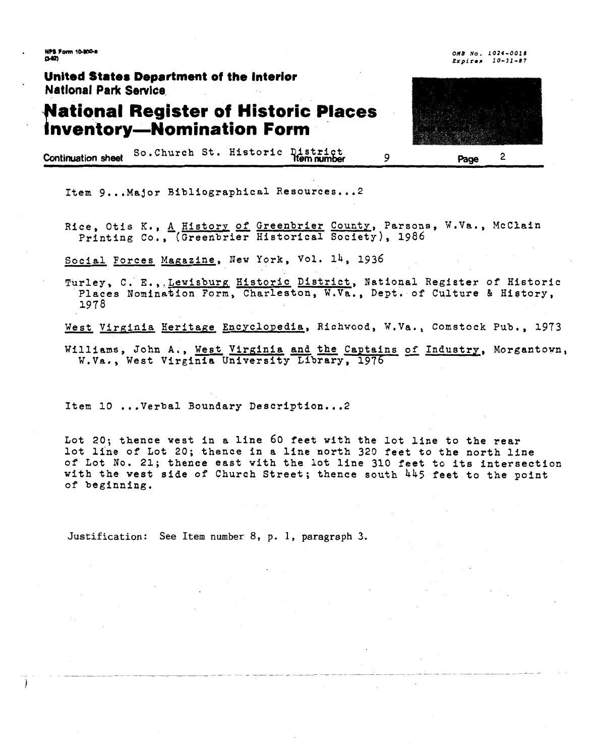**NPS Form 10-800-4** 

United States Department of the Interior **National Park Service** 

# **National Register of Historic Places Inventory—Nomination Form**<br>Continuation sheet So.Church St. Historic plastrict 9



**ONB No. 1024-0018**<br>Expires 10-31-87

Item 9...Major Ribliographical Resources.,.2

Rice, Otis K., <u>A History of Greenbrier County</u>, Parsons, W.Va., McClain Printing Co., (Greenbrier Historical society), 1986

Social Forces Magazine, New York, Vol. 14, 1936

Turley, C. E., Lewisburg Historic District, National Register of Historic Places Nomination Form, Charleston, W.Va., Dept. of Culture & History, 1978

West Virginia Heritage Encyclopedia, Richwood, W.Va., Comstock Pub., 1973

Williams, John A., West Virginia and the Captains of Industry, Morgantown, st Virginia Heritage Encyclopedia, Richwood, W.Va., C<br>Lliams, John A., <u>West Virginia and the Captains of In</u><br>W.Va., West Virginia University Library, 1976

Item 10 ... Verbal Boundary Description.,.2

Lot 20; thence west in a line **60** feet with the lot line to the rear lot line of Lot 20; thence in a line north 320 feet to the north line of Lot No. 21; thence east with the lot line 310 feet to its intersection with the west side of Church Street; thence south 445 feet to the point of beginning.

Justification: See Item number 8, p. 1, paragraph 3.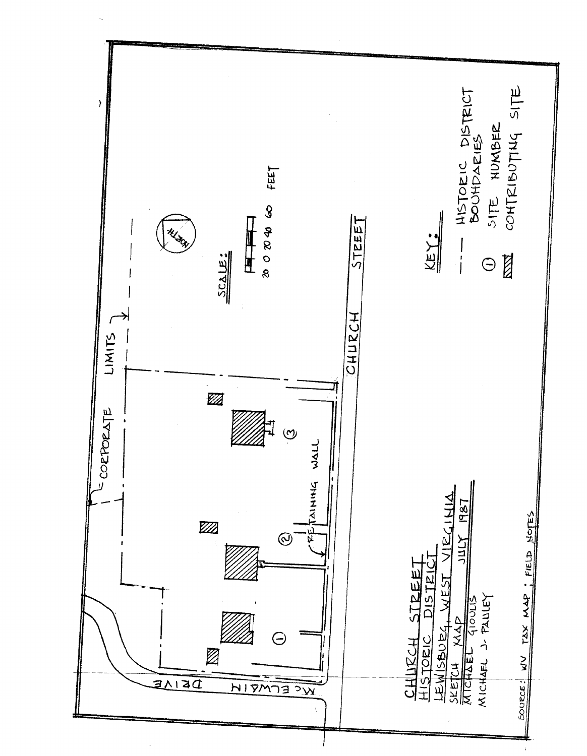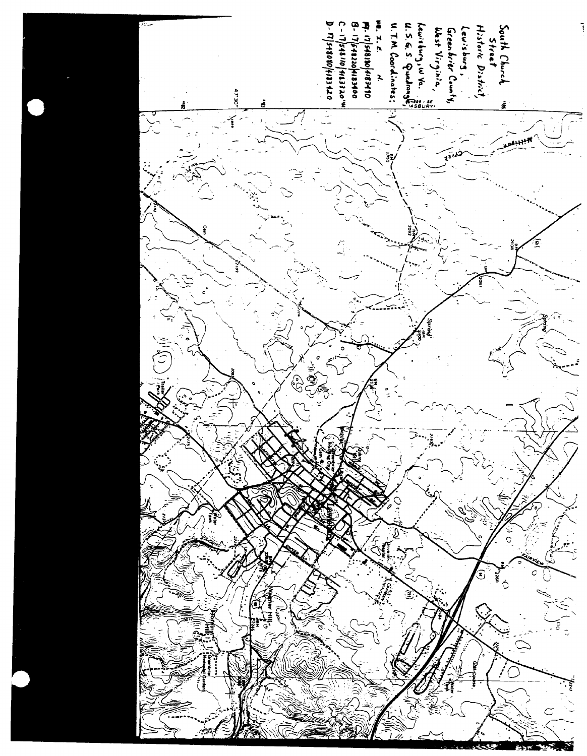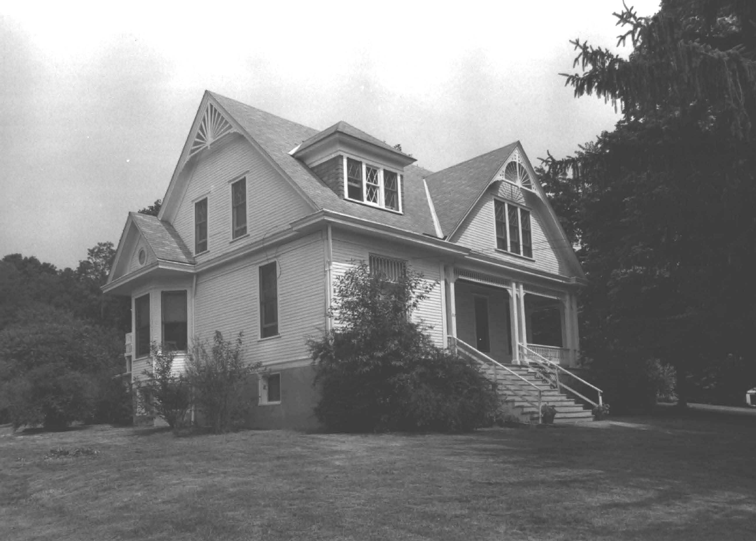